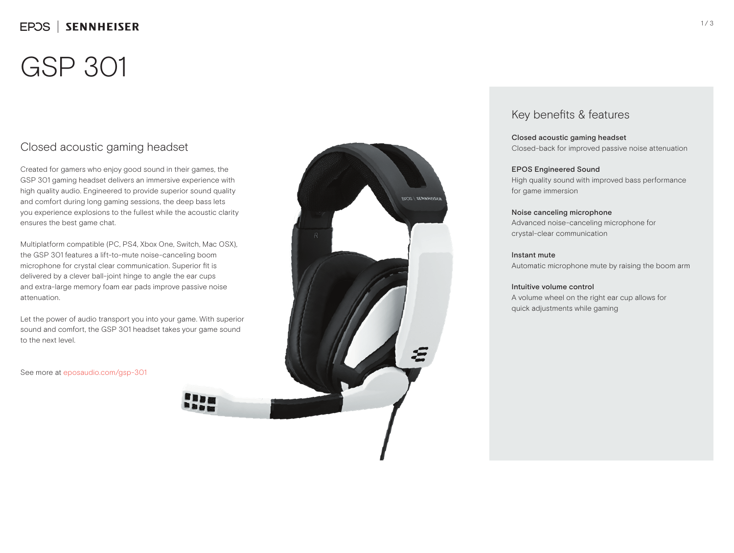#### EPOS | SENNHEISER

# GSP 301

#### Closed acoustic gaming headset

Created for gamers who enjoy good sound in their games, the GSP 301 gaming headset delivers an immersive experience with high quality audio. Engineered to provide superior sound quality and comfort during long gaming sessions, the deep bass lets you experience explosions to the fullest while the acoustic clarity ensures the best game chat.

Multiplatform compatible (PC, PS4, Xbox One, Switch, Mac OSX), the GSP 301 features a lift-to-mute noise-canceling boom microphone for crystal clear communication. Superior fit is delivered by a clever ball-joint hinge to angle the ear cups and extra-large memory foam ear pads improve passive noise attenuation.

Let the power of audio transport you into your game. With superior sound and comfort, the GSP 301 headset takes your game sound to the next level.

See more at eposaudio.com/gsp-301



#### Key benefits & features

Closed acoustic gaming headset Closed-back for improved passive noise attenuation

#### EPOS Engineered Sound

High quality sound with improved bass performance for game immersion

Noise canceling microphone Advanced noise-canceling microphone for crystal-clear communication

Instant mute Automatic microphone mute by raising the boom arm

#### Intuitive volume control

A volume wheel on the right ear cup allows for quick adjustments while gaming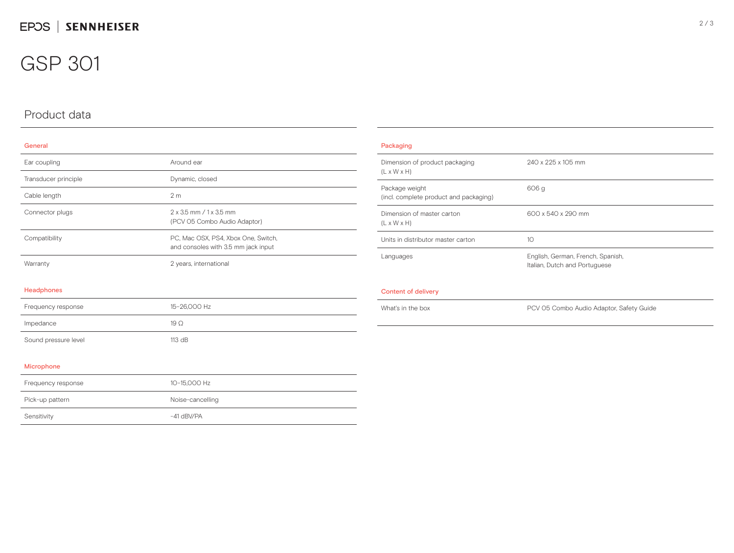## GSP 301

### Product data

#### General

| Ear coupling                 | Around ear                                                                 |
|------------------------------|----------------------------------------------------------------------------|
| Transducer principle         | Dynamic, closed                                                            |
| Cable length                 | 2 <sub>m</sub>                                                             |
| Connector plugs              | $2 \times 3.5$ mm $/1 \times 3.5$ mm<br>(PCV 05 Combo Audio Adaptor)       |
| Compatibility                | PC, Mac OSX, PS4, Xbox One, Switch,<br>and consoles with 3.5 mm jack input |
| Warranty                     | 2 years, international                                                     |
| Headphones                   |                                                                            |
| Frequency response           | 15-26,000 Hz                                                               |
| Impedance                    | 19 $\Omega$                                                                |
| Sound pressure level         | 113 dB                                                                     |
| And the company for a compa- |                                                                            |

| Microphone         |                  |  |  |
|--------------------|------------------|--|--|
| Frequency response | 10-15.000 Hz     |  |  |
| Pick-up pattern    | Noise-cancelling |  |  |
| Sensitivity        | $-41$ dBV/PA     |  |  |

| Dimension of product packaging<br>$(L \times W \times H)$ | 240 x 225 x 105 mm                                                 |  |
|-----------------------------------------------------------|--------------------------------------------------------------------|--|
| Package weight<br>(incl. complete product and packaging)  | 606 g                                                              |  |
| Dimension of master carton<br>$(L \times W \times H)$     | 600 x 540 x 290 mm                                                 |  |
| Units in distributor master carton                        | 1O                                                                 |  |
| Languages                                                 | English, German, French, Spanish,<br>Italian, Dutch and Portuguese |  |
| <b>Content of delivery</b>                                |                                                                    |  |
| What's in the box                                         | PCV 05 Combo Audio Adaptor, Safety Guide                           |  |

#### 2 / 3